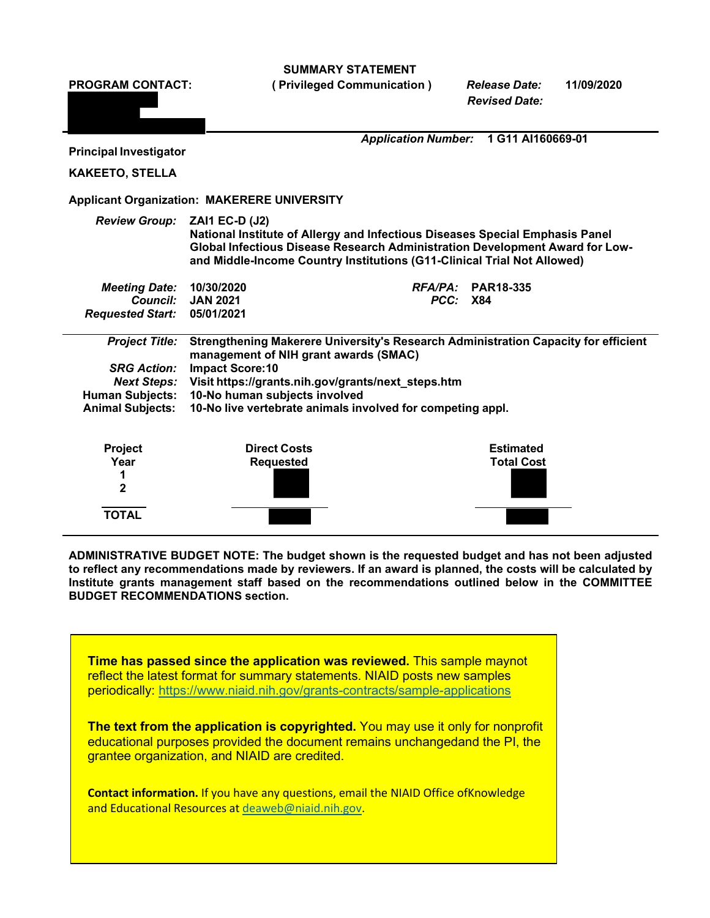**SUMMARY STATEMENT**



**ADMINISTRATIVE BUDGET NOTE: The budget shown is the requested budget and has not been adjusted**  to reflect any recommendations made by reviewers. If an award is planned, the costs will be calculated by **Institute grants management staff based on the recommendations outlined below in the COMMITTEE BUDGET RECOMMENDATIONS section.**

**Time has passed since the application was reviewed.** This sample maynot reflect the latest format for summary statements. NIAID posts new samples periodically:<https://www.niaid.nih.gov/grants-contracts/sample-applications>

**The text from the application is copyrighted.** You may use it only for nonprofit educational purposes provided the document remains unchangedand the PI, the grantee organization, and NIAID are credited.

**Contact information.** If you have any questions, email the NIAID Office ofKnowledge and Educational Resources at [deaweb@niaid.nih.gov.](mailto:deaweb@niaid.nih.gov)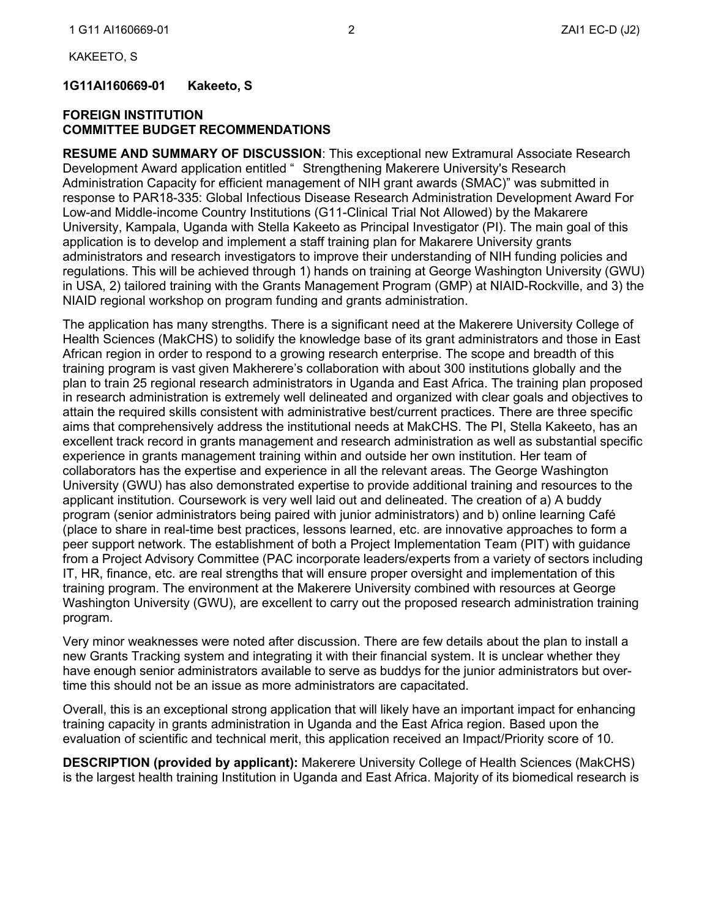**1G11AI160669-01 Kakeeto, S** 

### **FOREIGN INSTITUTION COMMITTEE BUDGET RECOMMENDATIONS**

**RESUME AND SUMMARY OF DISCUSSION**: This exceptional new Extramural Associate Research Development Award application entitled " Strengthening Makerere University's Research Administration Capacity for efficient management of NIH grant awards (SMAC)" was submitted in response to PAR18-335: Global Infectious Disease Research Administration Development Award For Low-and Middle-income Country Institutions (G11-Clinical Trial Not Allowed) by the Makarere University, Kampala, Uganda with Stella Kakeeto as Principal Investigator (PI). The main goal of this application is to develop and implement a staff training plan for Makarere University grants administrators and research investigators to improve their understanding of NIH funding policies and regulations. This will be achieved through 1) hands on training at George Washington University (GWU) in USA, 2) tailored training with the Grants Management Program (GMP) at NIAID-Rockville, and 3) the NIAID regional workshop on program funding and grants administration.

The application has many strengths. There is a significant need at the Makerere University College of Health Sciences (MakCHS) to solidify the knowledge base of its grant administrators and those in East African region in order to respond to a growing research enterprise. The scope and breadth of this training program is vast given Makherere's collaboration with about 300 institutions globally and the plan to train 25 regional research administrators in Uganda and East Africa. The training plan proposed in research administration is extremely well delineated and organized with clear goals and objectives to attain the required skills consistent with administrative best/current practices. There are three specific aims that comprehensively address the institutional needs at MakCHS. The PI, Stella Kakeeto, has an excellent track record in grants management and research administration as well as substantial specific experience in grants management training within and outside her own institution. Her team of collaborators has the expertise and experience in all the relevant areas. The George Washington University (GWU) has also demonstrated expertise to provide additional training and resources to the applicant institution. Coursework is very well laid out and delineated. The creation of a) A buddy program (senior administrators being paired with junior administrators) and b) online learning Café (place to share in real-time best practices, lessons learned, etc. are innovative approaches to form a peer support network. The establishment of both a Project Implementation Team (PIT) with guidance from a Project Advisory Committee (PAC incorporate leaders/experts from a variety of sectors including IT, HR, finance, etc. are real strengths that will ensure proper oversight and implementation of this training program. The environment at the Makerere University combined with resources at George Washington University (GWU), are excellent to carry out the proposed research administration training program.

Very minor weaknesses were noted after discussion. There are few details about the plan to install a new Grants Tracking system and integrating it with their financial system. It is unclear whether they have enough senior administrators available to serve as buddys for the junior administrators but overtime this should not be an issue as more administrators are capacitated.

Overall, this is an exceptional strong application that will likely have an important impact for enhancing training capacity in grants administration in Uganda and the East Africa region. Based upon the evaluation of scientific and technical merit, this application received an Impact/Priority score of 10.

**DESCRIPTION (provided by applicant):** Makerere University College of Health Sciences (MakCHS) is the largest health training Institution in Uganda and East Africa. Majority of its biomedical research is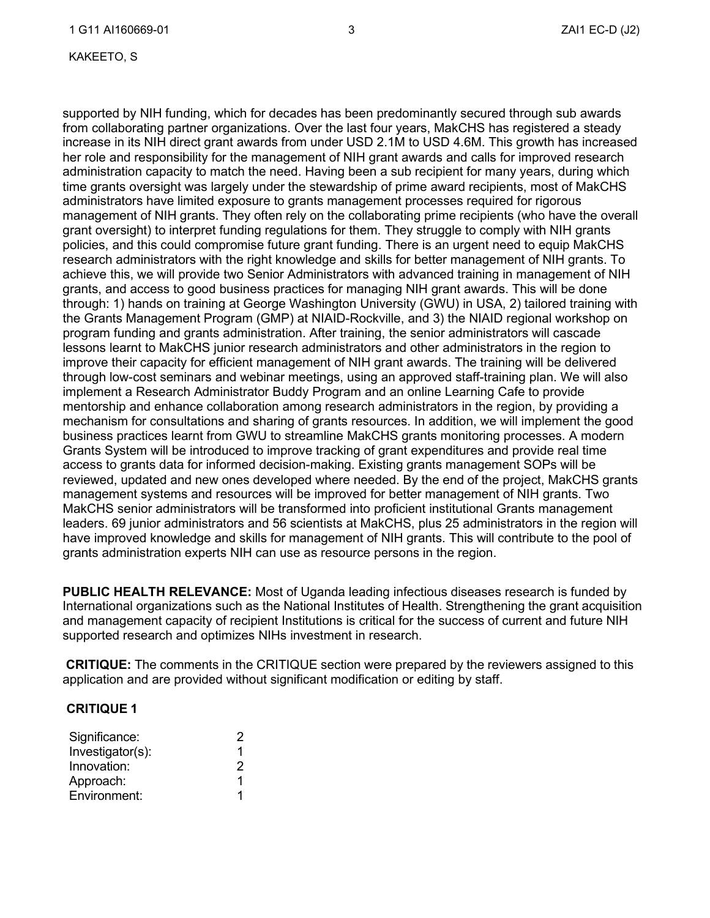KAKEETO, S

supported by NIH funding, which for decades has been predominantly secured through sub awards from collaborating partner organizations. Over the last four years, MakCHS has registered a steady increase in its NIH direct grant awards from under USD 2.1M to USD 4.6M. This growth has increased her role and responsibility for the management of NIH grant awards and calls for improved research administration capacity to match the need. Having been a sub recipient for many years, during which time grants oversight was largely under the stewardship of prime award recipients, most of MakCHS administrators have limited exposure to grants management processes required for rigorous management of NIH grants. They often rely on the collaborating prime recipients (who have the overall grant oversight) to interpret funding regulations for them. They struggle to comply with NIH grants policies, and this could compromise future grant funding. There is an urgent need to equip MakCHS research administrators with the right knowledge and skills for better management of NIH grants. To achieve this, we will provide two Senior Administrators with advanced training in management of NIH grants, and access to good business practices for managing NIH grant awards. This will be done through: 1) hands on training at George Washington University (GWU) in USA, 2) tailored training with the Grants Management Program (GMP) at NIAID-Rockville, and 3) the NIAID regional workshop on program funding and grants administration. After training, the senior administrators will cascade lessons learnt to MakCHS junior research administrators and other administrators in the region to improve their capacity for efficient management of NIH grant awards. The training will be delivered through low-cost seminars and webinar meetings, using an approved staff-training plan. We will also implement a Research Administrator Buddy Program and an online Learning Cafe to provide mentorship and enhance collaboration among research administrators in the region, by providing a mechanism for consultations and sharing of grants resources. In addition, we will implement the good business practices learnt from GWU to streamline MakCHS grants monitoring processes. A modern Grants System will be introduced to improve tracking of grant expenditures and provide real time access to grants data for informed decision-making. Existing grants management SOPs will be reviewed, updated and new ones developed where needed. By the end of the project, MakCHS grants management systems and resources will be improved for better management of NIH grants. Two MakCHS senior administrators will be transformed into proficient institutional Grants management leaders. 69 junior administrators and 56 scientists at MakCHS, plus 25 administrators in the region will have improved knowledge and skills for management of NIH grants. This will contribute to the pool of grants administration experts NIH can use as resource persons in the region.

**PUBLIC HEALTH RELEVANCE:** Most of Uganda leading infectious diseases research is funded by International organizations such as the National Institutes of Health. Strengthening the grant acquisition and management capacity of recipient Institutions is critical for the success of current and future NIH supported research and optimizes NIHs investment in research.

**CRITIQUE:** The comments in the CRITIQUE section were prepared by the reviewers assigned to this application and are provided without significant modification or editing by staff.

### **CRITIQUE 1**

| Significance:    | -2 |
|------------------|----|
| Investigator(s): |    |
| Innovation:      | 2  |
| Approach:        | 1  |
| Environment:     |    |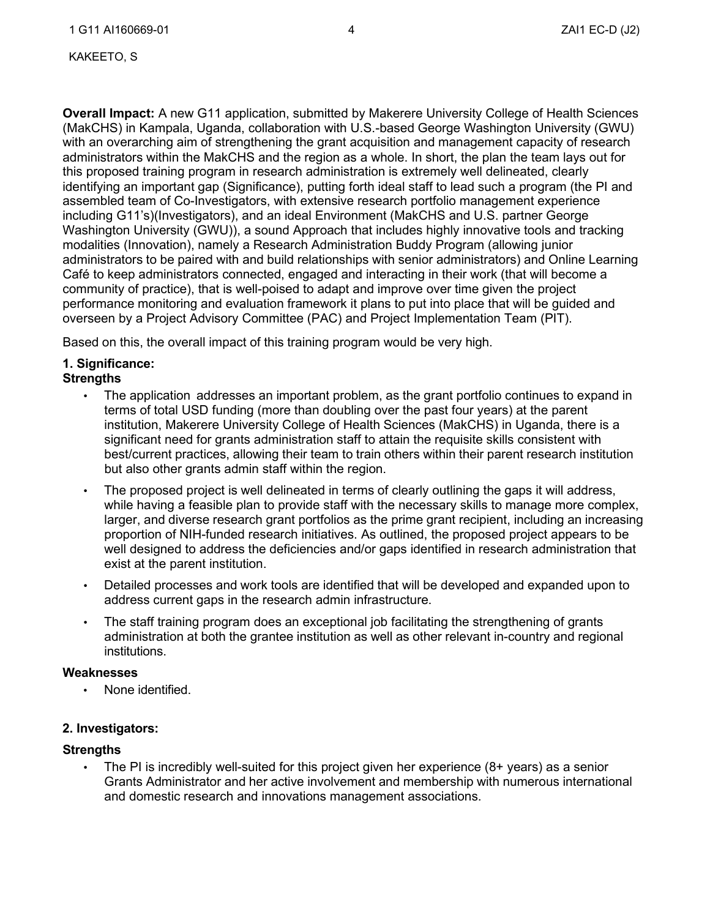KAKEETO, S

**Overall Impact:** A new G11 application, submitted by Makerere University College of Health Sciences (MakCHS) in Kampala, Uganda, collaboration with U.S.-based George Washington University (GWU) with an overarching aim of strengthening the grant acquisition and management capacity of research administrators within the MakCHS and the region as a whole. In short, the plan the team lays out for this proposed training program in research administration is extremely well delineated, clearly identifying an important gap (Significance), putting forth ideal staff to lead such a program (the PI and assembled team of Co-Investigators, with extensive research portfolio management experience including G11's)(Investigators), and an ideal Environment (MakCHS and U.S. partner George Washington University (GWU)), a sound Approach that includes highly innovative tools and tracking modalities (Innovation), namely a Research Administration Buddy Program (allowing junior administrators to be paired with and build relationships with senior administrators) and Online Learning Café to keep administrators connected, engaged and interacting in their work (that will become a community of practice), that is well-poised to adapt and improve over time given the project performance monitoring and evaluation framework it plans to put into place that will be guided and overseen by a Project Advisory Committee (PAC) and Project Implementation Team (PIT).

Based on this, the overall impact of this training program would be very high.

## **1. Significance:**

### **Strengths**

- The application addresses an important problem, as the grant portfolio continues to expand in terms of total USD funding (more than doubling over the past four years) at the parent institution, Makerere University College of Health Sciences (MakCHS) in Uganda, there is a significant need for grants administration staff to attain the requisite skills consistent with best/current practices, allowing their team to train others within their parent research institution but also other grants admin staff within the region.
- The proposed project is well delineated in terms of clearly outlining the gaps it will address, while having a feasible plan to provide staff with the necessary skills to manage more complex, larger, and diverse research grant portfolios as the prime grant recipient, including an increasing proportion of NIH-funded research initiatives. As outlined, the proposed project appears to be well designed to address the deficiencies and/or gaps identified in research administration that exist at the parent institution.
- Detailed processes and work tools are identified that will be developed and expanded upon to address current gaps in the research admin infrastructure.
- The staff training program does an exceptional job facilitating the strengthening of grants administration at both the grantee institution as well as other relevant in-country and regional institutions.

### **Weaknesses**

None identified.

### **2. Investigators:**

### **Strengths**

 $\cdot$  The PI is incredibly well-suited for this project given her experience (8+ years) as a senior Grants Administrator and her active involvement and membership with numerous international and domestic research and innovations management associations.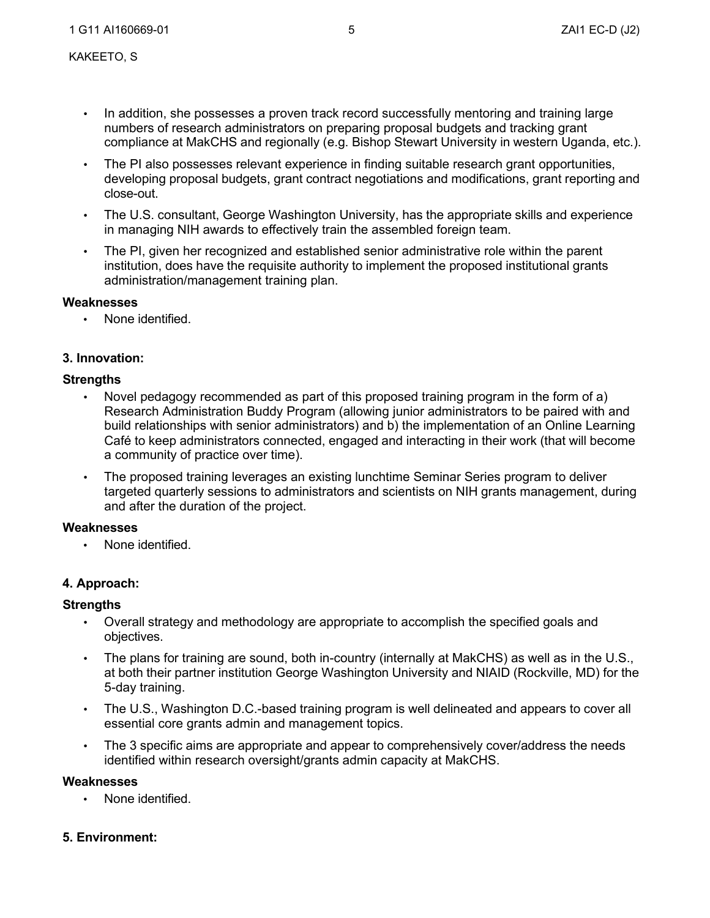- In addition, she possesses a proven track record successfully mentoring and training large numbers of research administrators on preparing proposal budgets and tracking grant compliance at MakCHS and regionally (e.g. Bishop Stewart University in western Uganda, etc.).
- The PI also possesses relevant experience in finding suitable research grant opportunities, developing proposal budgets, grant contract negotiations and modifications, grant reporting and close-out.
- The U.S. consultant, George Washington University, has the appropriate skills and experience in managing NIH awards to effectively train the assembled foreign team.
- The PI, given her recognized and established senior administrative role within the parent institution, does have the requisite authority to implement the proposed institutional grants administration/management training plan.

## **Weaknesses**

• None identified.

# **3. Innovation:**

# **Strengths**

- Novel pedagogy recommended as part of this proposed training program in the form of a) Research Administration Buddy Program (allowing junior administrators to be paired with and build relationships with senior administrators) and b) the implementation of an Online Learning Café to keep administrators connected, engaged and interacting in their work (that will become a community of practice over time).
- The proposed training leverages an existing lunchtime Seminar Series program to deliver targeted quarterly sessions to administrators and scientists on NIH grants management, during and after the duration of the project.

### **Weaknesses**

None identified.

## **4. Approach:**

### **Strengths**

- Overall strategy and methodology are appropriate to accomplish the specified goals and objectives.
- The plans for training are sound, both in-country (internally at MakCHS) as well as in the U.S., at both their partner institution George Washington University and NIAID (Rockville, MD) for the 5-day training.
- The U.S., Washington D.C.-based training program is well delineated and appears to cover all essential core grants admin and management topics.
- The 3 specific aims are appropriate and appear to comprehensively cover/address the needs identified within research oversight/grants admin capacity at MakCHS.

### **Weaknesses**

• None identified.

### **5. Environment:**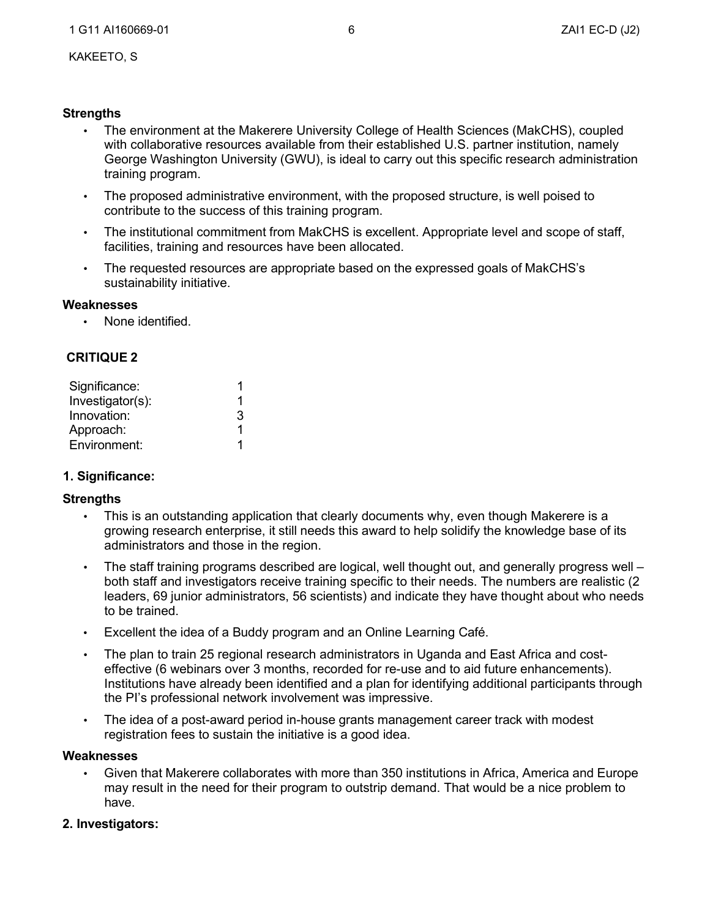## **Strengths**

- The environment at the Makerere University College of Health Sciences (MakCHS), coupled with collaborative resources available from their established U.S. partner institution, namely George Washington University (GWU), is ideal to carry out this specific research administration training program.
- The proposed administrative environment, with the proposed structure, is well poised to contribute to the success of this training program.
- The institutional commitment from MakCHS is excellent. Appropriate level and scope of staff, facilities, training and resources have been allocated.
- The requested resources are appropriate based on the expressed goals of MakCHS's sustainability initiative.

### **Weaknesses**

• None identified.

# **CRITIQUE 2**

| Significance:    |   |
|------------------|---|
| Investigator(s): |   |
| Innovation:      | 3 |
| Approach:        |   |
| Environment:     |   |

# **1. Significance:**

## **Strengths**

- This is an outstanding application that clearly documents why, even though Makerere is a growing research enterprise, it still needs this award to help solidify the knowledge base of its administrators and those in the region.
- The staff training programs described are logical, well thought out, and generally progress well both staff and investigators receive training specific to their needs. The numbers are realistic (2 leaders, 69 junior administrators, 56 scientists) and indicate they have thought about who needs to be trained.
- Excellent the idea of a Buddy program and an Online Learning Café.
- The plan to train 25 regional research administrators in Uganda and East Africa and costeffective (6 webinars over 3 months, recorded for re-use and to aid future enhancements). Institutions have already been identified and a plan for identifying additional participants through the PI's professional network involvement was impressive.
- The idea of a post-award period in-house grants management career track with modest registration fees to sustain the initiative is a good idea.

## **Weaknesses**

• Given that Makerere collaborates with more than 350 institutions in Africa, America and Europe may result in the need for their program to outstrip demand. That would be a nice problem to have.

# **2. Investigators:**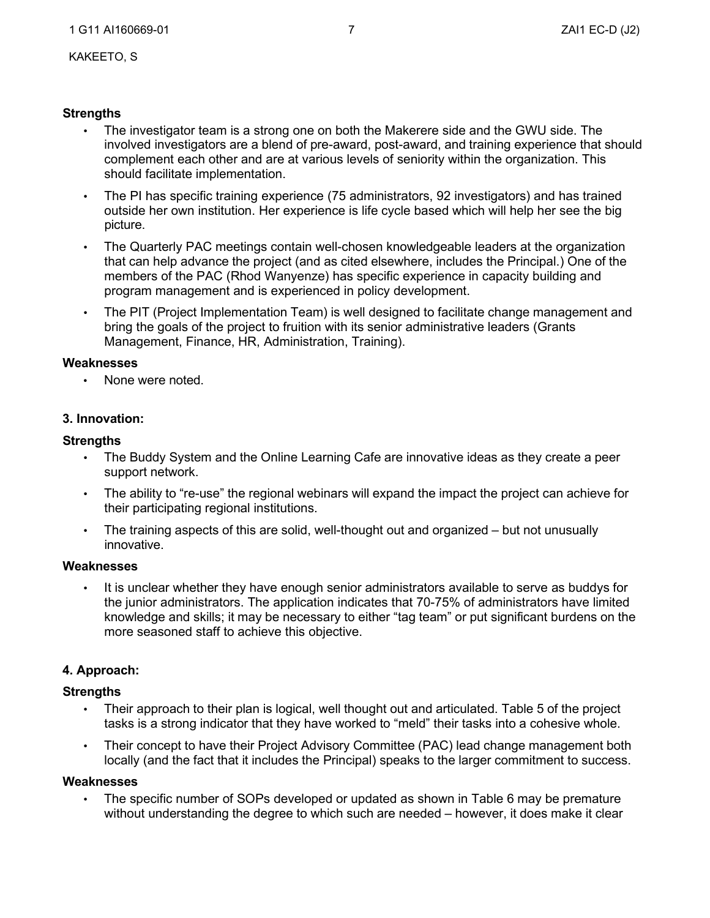### **Strengths**

- The investigator team is a strong one on both the Makerere side and the GWU side. The involved investigators are a blend of pre-award, post-award, and training experience that should complement each other and are at various levels of seniority within the organization. This should facilitate implementation.
- The PI has specific training experience (75 administrators, 92 investigators) and has trained outside her own institution. Her experience is life cycle based which will help her see the big picture.
- The Quarterly PAC meetings contain well-chosen knowledgeable leaders at the organization that can help advance the project (and as cited elsewhere, includes the Principal.) One of the members of the PAC (Rhod Wanyenze) has specific experience in capacity building and program management and is experienced in policy development.
- The PIT (Project Implementation Team) is well designed to facilitate change management and bring the goals of the project to fruition with its senior administrative leaders (Grants Management, Finance, HR, Administration, Training).

#### **Weaknesses**

• None were noted.

### **3. Innovation:**

#### **Strengths**

- The Buddy System and the Online Learning Cafe are innovative ideas as they create a peer support network.
- The ability to "re-use" the regional webinars will expand the impact the project can achieve for their participating regional institutions.
- The training aspects of this are solid, well-thought out and organized but not unusually innovative.

#### **Weaknesses**

• It is unclear whether they have enough senior administrators available to serve as buddys for the junior administrators. The application indicates that 70-75% of administrators have limited knowledge and skills; it may be necessary to either "tag team" or put significant burdens on the more seasoned staff to achieve this objective.

### **4. Approach:**

### **Strengths**

- Their approach to their plan is logical, well thought out and articulated. Table 5 of the project tasks is a strong indicator that they have worked to "meld" their tasks into a cohesive whole.
- Their concept to have their Project Advisory Committee (PAC) lead change management both locally (and the fact that it includes the Principal) speaks to the larger commitment to success.

### **Weaknesses**

The specific number of SOPs developed or updated as shown in Table 6 may be premature without understanding the degree to which such are needed – however, it does make it clear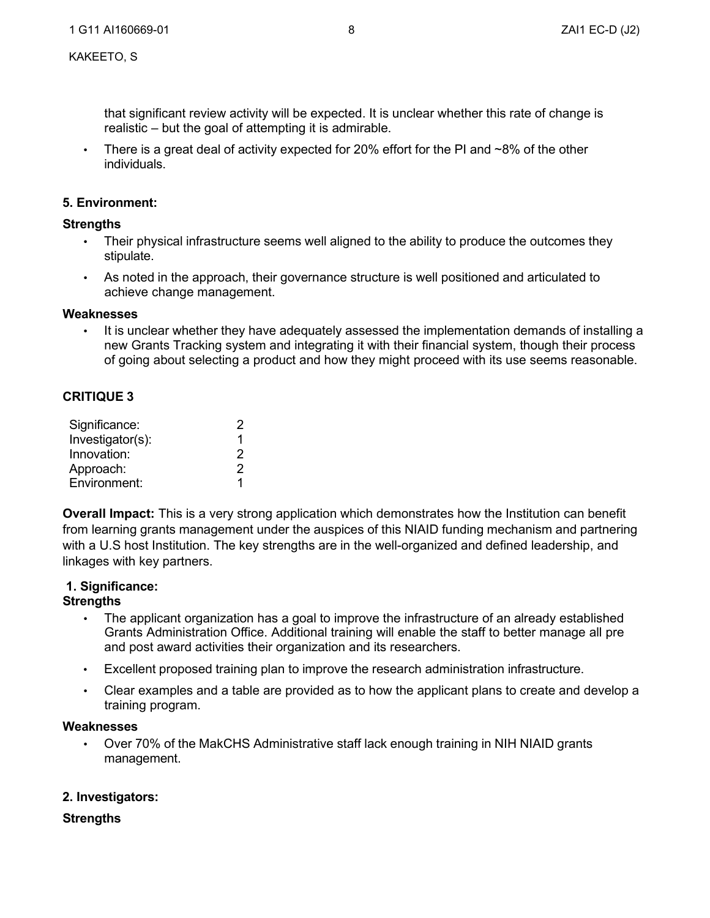that significant review activity will be expected. It is unclear whether this rate of change is realistic – but the goal of attempting it is admirable.

There is a great deal of activity expected for 20% effort for the PI and  $\sim$ 8% of the other individuals.

### **5. Environment:**

### **Strengths**

- Their physical infrastructure seems well aligned to the ability to produce the outcomes they stipulate.
- As noted in the approach, their governance structure is well positioned and articulated to achieve change management.

#### **Weaknesses**

• It is unclear whether they have adequately assessed the implementation demands of installing a new Grants Tracking system and integrating it with their financial system, though their process of going about selecting a product and how they might proceed with its use seems reasonable.

### **CRITIQUE 3**

| Significance:    | 2 |
|------------------|---|
| Investigator(s): | 1 |
| Innovation:      | 2 |
| Approach:        | 2 |
| Environment:     | 1 |

**Overall Impact:** This is a very strong application which demonstrates how the Institution can benefit from learning grants management under the auspices of this NIAID funding mechanism and partnering with a U.S host Institution. The key strengths are in the well-organized and defined leadership, and linkages with key partners.

#### **1. Significance: Strengths**

- The applicant organization has a goal to improve the infrastructure of an already established Grants Administration Office. Additional training will enable the staff to better manage all pre and post award activities their organization and its researchers.
- Excellent proposed training plan to improve the research administration infrastructure.
- Clear examples and a table are provided as to how the applicant plans to create and develop a training program.

#### **Weaknesses**

• Over 70% of the MakCHS Administrative staff lack enough training in NIH NIAID grants management.

### **2. Investigators:**

### **Strengths**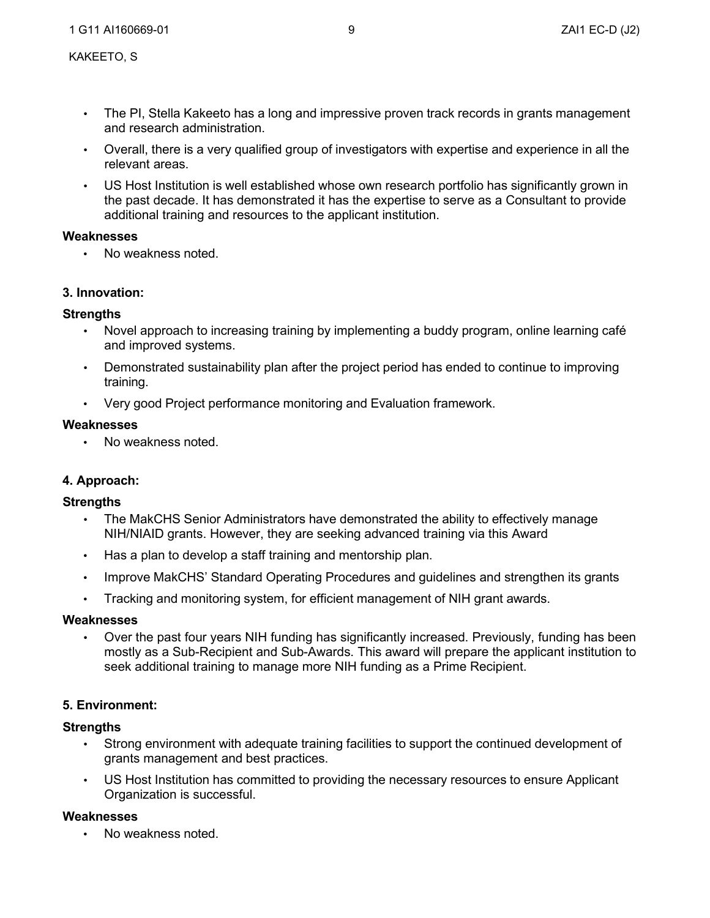- The PI, Stella Kakeeto has a long and impressive proven track records in grants management and research administration.
- Overall, there is a very qualified group of investigators with expertise and experience in all the relevant areas.
- US Host Institution is well established whose own research portfolio has significantly grown in the past decade. It has demonstrated it has the expertise to serve as a Consultant to provide additional training and resources to the applicant institution.

## **Weaknesses**

• No weakness noted.

# **3. Innovation:**

## **Strengths**

- Novel approach to increasing training by implementing a buddy program, online learning café and improved systems.
- Demonstrated sustainability plan after the project period has ended to continue to improving training.
- Very good Project performance monitoring and Evaluation framework.

## **Weaknesses**

• No weakness noted.

# **4. Approach:**

# **Strengths**

- The MakCHS Senior Administrators have demonstrated the ability to effectively manage NIH/NIAID grants. However, they are seeking advanced training via this Award
- Has a plan to develop a staff training and mentorship plan.
- Improve MakCHS' Standard Operating Procedures and guidelines and strengthen its grants
- Tracking and monitoring system, for efficient management of NIH grant awards.

## **Weaknesses**

• Over the past four years NIH funding has significantly increased. Previously, funding has been mostly as a Sub-Recipient and Sub-Awards. This award will prepare the applicant institution to seek additional training to manage more NIH funding as a Prime Recipient.

# **5. Environment:**

# **Strengths**

- Strong environment with adequate training facilities to support the continued development of grants management and best practices.
- US Host Institution has committed to providing the necessary resources to ensure Applicant Organization is successful.

# **Weaknesses**

• No weakness noted.